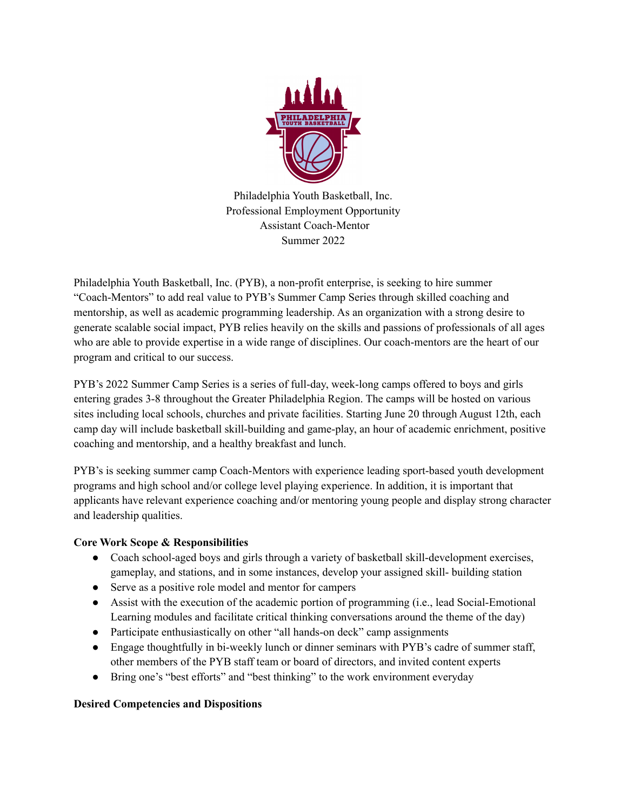

Philadelphia Youth Basketball, Inc. Professional Employment Opportunity Assistant Coach-Mentor Summer 2022

Philadelphia Youth Basketball, Inc. (PYB), a non-profit enterprise, is seeking to hire summer "Coach-Mentors" to add real value to PYB's Summer Camp Series through skilled coaching and mentorship, as well as academic programming leadership. As an organization with a strong desire to generate scalable social impact, PYB relies heavily on the skills and passions of professionals of all ages who are able to provide expertise in a wide range of disciplines. Our coach-mentors are the heart of our program and critical to our success.

PYB's 2022 Summer Camp Series is a series of full-day, week-long camps offered to boys and girls entering grades 3-8 throughout the Greater Philadelphia Region. The camps will be hosted on various sites including local schools, churches and private facilities. Starting June 20 through August 12th, each camp day will include basketball skill-building and game-play, an hour of academic enrichment, positive coaching and mentorship, and a healthy breakfast and lunch.

PYB's is seeking summer camp Coach-Mentors with experience leading sport-based youth development programs and high school and/or college level playing experience. In addition, it is important that applicants have relevant experience coaching and/or mentoring young people and display strong character and leadership qualities.

# **Core Work Scope & Responsibilities**

- Coach school-aged boys and girls through a variety of basketball skill-development exercises, gameplay, and stations, and in some instances, develop your assigned skill- building station
- Serve as a positive role model and mentor for campers
- Assist with the execution of the academic portion of programming (i.e., lead Social-Emotional Learning modules and facilitate critical thinking conversations around the theme of the day)
- Participate enthusiastically on other "all hands-on deck" camp assignments
- Engage thoughtfully in bi-weekly lunch or dinner seminars with PYB's cadre of summer staff, other members of the PYB staff team or board of directors, and invited content experts
- Bring one's "best efforts" and "best thinking" to the work environment everyday

# **Desired Competencies and Dispositions**